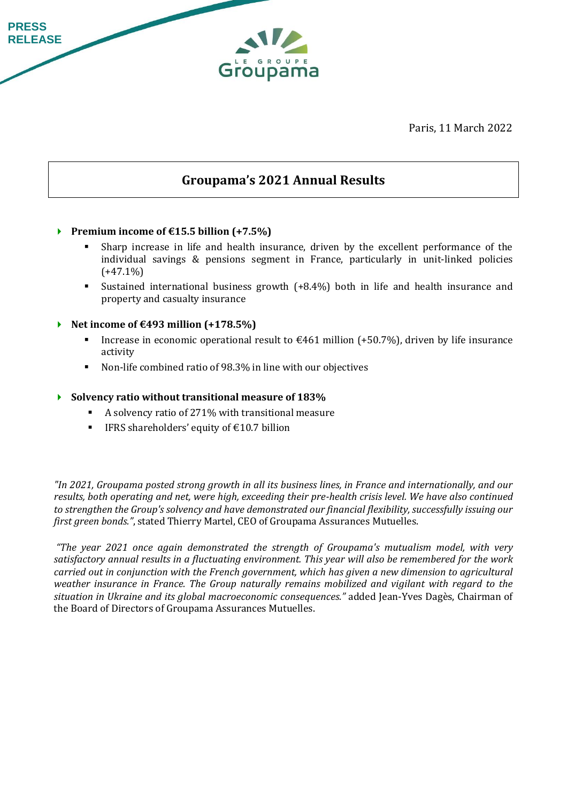Paris, 11 March 2022

# **Groupama's 2021 Annual Results**

Groupama

### **Premium income of €15.5 billion (+7.5%)**

**PRESS RELEASE**

- Sharp increase in life and health insurance, driven by the excellent performance of the individual savings & pensions segment in France, particularly in unit-linked policies  $(+47.1\%)$
- Sustained international business growth (+8.4%) both in life and health insurance and property and casualty insurance
- **Net income of €493 million (+178.5%)**
	- Increase in economic operational result to  $\epsilon$ 461 million (+50.7%), driven by life insurance activity
	- Non-life combined ratio of 98.3% in line with our objectives

### **Solvency ratio without transitional measure of 183%**

- A solvency ratio of 271% with transitional measure
- IFRS shareholders' equity of  $£10.7$  billion

*"In 2021, Groupama posted strong growth in all its business lines, in France and internationally, and our results, both operating and net, were high, exceeding their pre-health crisis level. We have also continued to strengthen the Group's solvency and have demonstrated our financial flexibility, successfully issuing our first green bonds."*, stated Thierry Martel, CEO of Groupama Assurances Mutuelles.

*"The year 2021 once again demonstrated the strength of Groupama's mutualism model, with very satisfactory annual results in a fluctuating environment. This year will also be remembered for the work carried out in conjunction with the French government, which has given a new dimension to agricultural weather insurance in France. The Group naturally remains mobilized and vigilant with regard to the situation in Ukraine and its global macroeconomic consequences."* added Jean-Yves Dagès, Chairman of the Board of Directors of Groupama Assurances Mutuelles.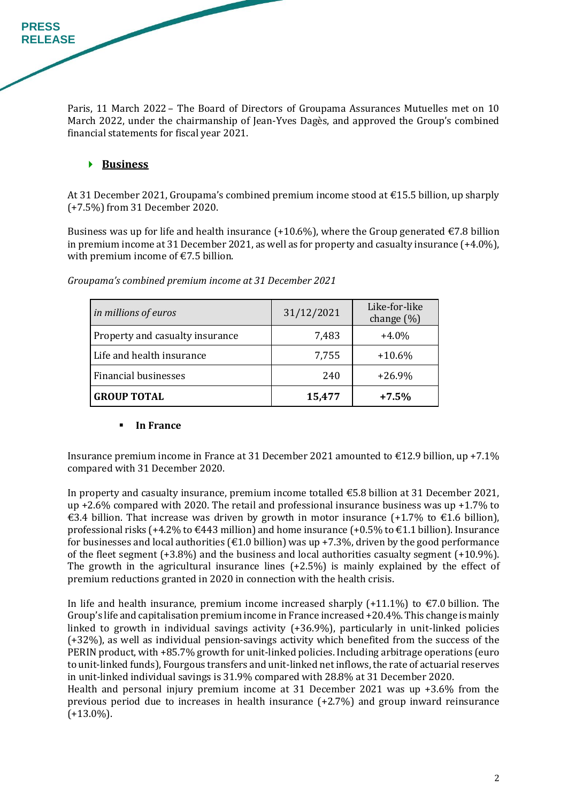Paris, 11 March 2022 – The Board of Directors of Groupama Assurances Mutuelles met on 10 March 2022, under the chairmanship of Jean-Yves Dagès, and approved the Group's combined financial statements for fiscal year 2021.

## **Business**

**PRESS RELEASE**

> At 31 December 2021, Groupama's combined premium income stood at €15.5 billion, up sharply (+7.5%) from 31 December 2020.

> Business was up for life and health insurance (+10.6%), where the Group generated  $\epsilon$ 7.8 billion in premium income at 31 December 2021, as well as for property and casualty insurance (+4.0%), with premium income of €7.5 billion.

| in millions of euros            | 31/12/2021 | Like-for-like<br>change $(\%)$ |
|---------------------------------|------------|--------------------------------|
| Property and casualty insurance | 7,483      | $+4.0\%$                       |
| Life and health insurance       | 7,755      | $+10.6%$                       |
| <b>Financial businesses</b>     | 240        | $+26.9%$                       |
| <b>GROUP TOTAL</b>              | 15,477     | $+7.5%$                        |

*Groupama's combined premium income at 31 December 2021*

### **In France**

Insurance premium income in France at 31 December 2021 amounted to €12.9 billion, up +7.1% compared with 31 December 2020.

In property and casualty insurance, premium income totalled €5.8 billion at 31 December 2021, up +2.6% compared with 2020. The retail and professional insurance business was up +1.7% to €3.4 billion. That increase was driven by growth in motor insurance  $(+1.7\%$  to €1.6 billion), professional risks (+4.2% to  $\epsilon$ 443 million) and home insurance (+0.5% to  $\epsilon$ 1.1 billion). Insurance for businesses and local authorities ( $\epsilon$ 1.0 billion) was up +7.3%, driven by the good performance of the fleet segment (+3.8%) and the business and local authorities casualty segment (+10.9%). The growth in the agricultural insurance lines (+2.5%) is mainly explained by the effect of premium reductions granted in 2020 in connection with the health crisis.

In life and health insurance, premium income increased sharply  $(+11.1\%)$  to  $\epsilon$ 7.0 billion. The Group's life and capitalisation premium income in France increased +20.4%. This change is mainly linked to growth in individual savings activity (+36.9%), particularly in unit-linked policies (+32%), as well as individual pension-savings activity which benefited from the success of the PERIN product, with +85.7% growth for unit-linked policies. Including arbitrage operations (euro to unit-linked funds), Fourgous transfers and unit-linked net inflows, the rate of actuarial reserves in unit-linked individual savings is 31.9% compared with 28.8% at 31 December 2020.

Health and personal injury premium income at 31 December 2021 was up +3.6% from the previous period due to increases in health insurance (+2.7%) and group inward reinsurance  $(+13.0\%)$ .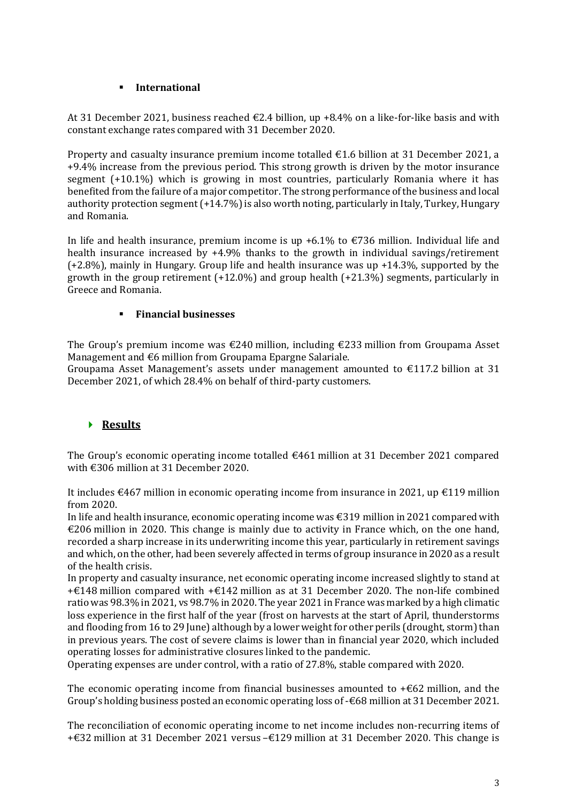### ▪ **International**

At 31 December 2021, business reached  $\epsilon$ 2.4 billion, up +8.4% on a like-for-like basis and with constant exchange rates compared with 31 December 2020.

Property and casualty insurance premium income totalled €1.6 billion at 31 December 2021, a +9.4% increase from the previous period. This strong growth is driven by the motor insurance segment (+10.1%) which is growing in most countries, particularly Romania where it has benefited from the failure of a major competitor. The strong performance of the business and local authority protection segment  $(+14.7%)$  is also worth noting, particularly in Italy, Turkey, Hungary and Romania.

In life and health insurance, premium income is up +6.1% to  $\epsilon$ 736 million. Individual life and health insurance increased by +4.9% thanks to the growth in individual savings/retirement (+2.8%), mainly in Hungary. Group life and health insurance was up +14.3%, supported by the growth in the group retirement (+12.0%) and group health (+21.3%) segments, particularly in Greece and Romania.

### ▪ **Financial businesses**

The Group's premium income was  $\epsilon$ 240 million, including  $\epsilon$ 233 million from Groupama Asset Management and €6 million from Groupama Epargne Salariale.

Groupama Asset Management's assets under management amounted to €117.2 billion at 31 December 2021, of which 28.4% on behalf of third-party customers.

## **Results**

The Group's economic operating income totalled  $\epsilon$ 461 million at 31 December 2021 compared with €306 million at 31 December 2020.

It includes  $\epsilon$ 467 million in economic operating income from insurance in 2021, up  $\epsilon$ 119 million from 2020.

In life and health insurance, economic operating income was €319 million in 2021 compared with €206 million in 2020. This change is mainly due to activity in France which, on the one hand, recorded a sharp increase in its underwriting income this year, particularly in retirement savings and which, on the other, had been severely affected in terms of group insurance in 2020 as a result of the health crisis.

In property and casualty insurance, net economic operating income increased slightly to stand at +€148 million compared with +€142 million as at 31 December 2020. The non-life combined ratio was 98.3% in 2021, vs 98.7% in 2020. The year 2021 in France was marked by a high climatic loss experience in the first half of the year (frost on harvests at the start of April, thunderstorms and flooding from 16 to 29 June) although by a lower weight for other perils (drought, storm) than in previous years. The cost of severe claims is lower than in financial year 2020, which included operating losses for administrative closures linked to the pandemic.

Operating expenses are under control, with a ratio of 27.8%, stable compared with 2020.

The economic operating income from financial businesses amounted to  $+\epsilon$ 62 million, and the Group's holding business posted an economic operating loss of -€68 million at 31 December 2021.

The reconciliation of economic operating income to net income includes non-recurring items of +€32 million at 31 December 2021 versus –€129 million at 31 December 2020. This change is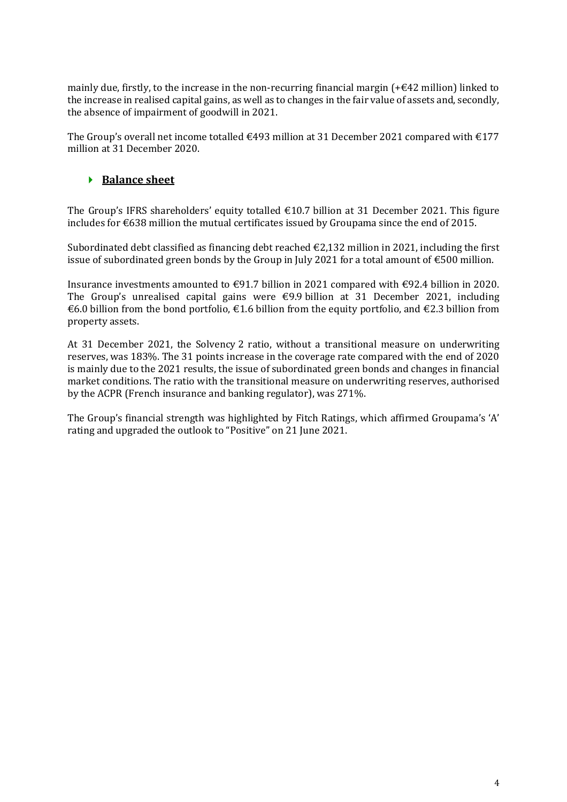mainly due, firstly, to the increase in the non-recurring financial margin  $(+642 \text{ million})$  linked to the increase in realised capital gains, as well as to changes in the fair value of assets and, secondly, the absence of impairment of goodwill in 2021.

The Group's overall net income totalled  $\epsilon$ 493 million at 31 December 2021 compared with  $\epsilon$ 177 million at 31 December 2020.

## **▶ Balance sheet**

The Group's IFRS shareholders' equity totalled  $\epsilon$ 10.7 billion at 31 December 2021. This figure includes for €638 million the mutual certificates issued by Groupama since the end of 2015.

Subordinated debt classified as financing debt reached  $\epsilon$ 2.132 million in 2021, including the first issue of subordinated green bonds by the Group in July 2021 for a total amount of  $\epsilon$ 500 million.

Insurance investments amounted to €91.7 billion in 2021 compared with €92.4 billion in 2020. The Group's unrealised capital gains were  $\epsilon$ 9.9 billion at 31 December 2021, including €6.0 billion from the bond portfolio, €1.6 billion from the equity portfolio, and €2.3 billion from property assets.

At 31 December 2021, the Solvency 2 ratio, without a transitional measure on underwriting reserves, was 183%. The 31 points increase in the coverage rate compared with the end of 2020 is mainly due to the 2021 results, the issue of subordinated green bonds and changes in financial market conditions. The ratio with the transitional measure on underwriting reserves, authorised by the ACPR (French insurance and banking regulator), was 271%.

The Group's financial strength was highlighted by Fitch Ratings, which affirmed Groupama's 'A' rating and upgraded the outlook to "Positive" on 21 June 2021.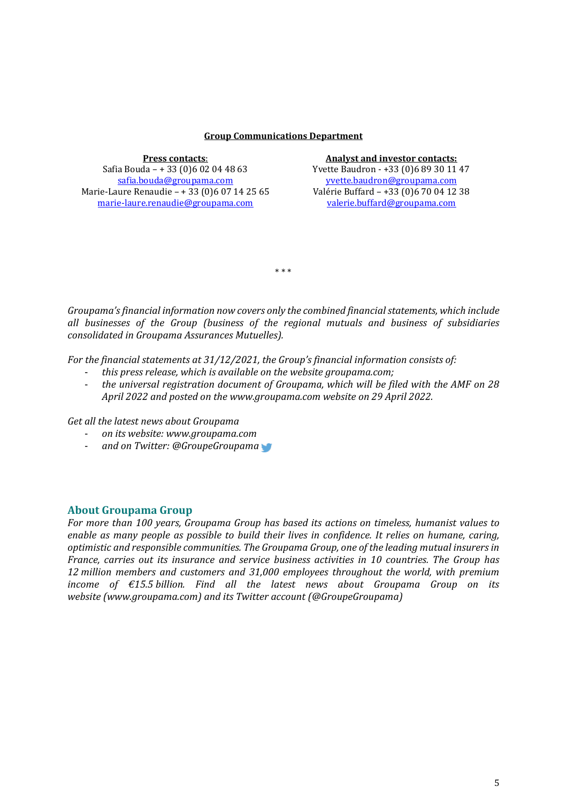#### **Group Communications Department**

| <b>Press contacts:</b>                       |  |  |  |
|----------------------------------------------|--|--|--|
| Safia Bouda - + 33 (0) 6 02 04 48 63         |  |  |  |
| safia.bouda@groupama.com                     |  |  |  |
| Marie-Laure Renaudie - + 33 (0)6 07 14 25 65 |  |  |  |
| marie-laure.renaudie@groupama.com            |  |  |  |

#### **Press contacts**: **Analyst and investor contacts:**

Yvette Baudron - +33 (0)6 89 30 11 47 [yvette.baudron@groupama.com](mailto:yvette.baudron@groupama.com) Valérie Buffard – +33 (0)6 70 04 12 38 [valerie.buffard@groupama.com](mailto:valerie.buffard@groupama.com)

*Groupama'sfinancial information now covers only the combined financial statements, which include all businesses of the Group (business of the regional mutuals and business of subsidiaries consolidated in Groupama Assurances Mutuelles).*

\* \* \*

*For the financial statements at 31/12/2021, the Group's financial information consists of:*

- *this press release, which is available on the website groupama.com;*
- *the universal registration document of Groupama, which will be filed with the AMF on 28 April 2022 and posted on the www.groupama.com website on 29 April 2022.*

*Get all the latest news about Groupama*

- *on its website: www.groupama.com*
- *and on Twitter: @GroupeGroupama*

### **About Groupama Group**

*For more than 100 years, Groupama Group has based its actions on timeless, humanist values to enable as many people as possible to build their lives in confidence. It relies on humane, caring, optimistic and responsible communities. The Groupama Group, one of the leading mutual insurers in France, carries out its insurance and service business activities in 10 countries. The Group has 12 million members and customers and 31,000 employees throughout the world, with premium income of €15.5 billion. Find all the latest news about Groupama Group on its website (www.groupama.com) and its Twitter account (@GroupeGroupama)*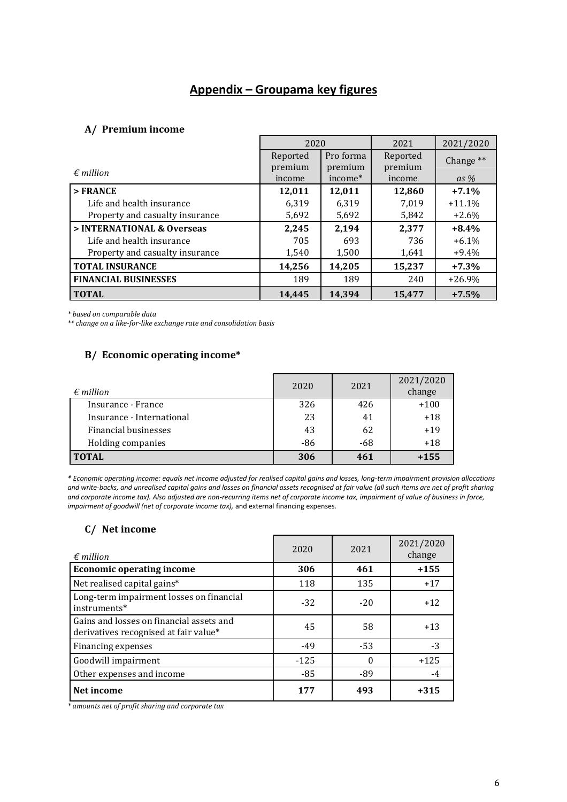# **Appendix – Groupama key figures**

### **A/ Premium income**

|                                 | 2020     |           | 2021     | 2021/2020 |
|---------------------------------|----------|-----------|----------|-----------|
|                                 | Reported | Pro forma | Reported | Change ** |
| $\epsilon$ million              | premium  | premium   | premium  |           |
|                                 | income   | income*   | income   | $as\%$    |
| $>$ FRANCE                      | 12,011   | 12,011    | 12,860   | $+7.1%$   |
| Life and health insurance       | 6,319    | 6,319     | 7,019    | $+11.1%$  |
| Property and casualty insurance | 5,692    | 5,692     | 5,842    | $+2.6%$   |
| > INTERNATIONAL & Overseas      | 2,245    | 2,194     | 2,377    | $+8.4%$   |
| Life and health insurance       | 705      | 693       | 736      | $+6.1\%$  |
| Property and casualty insurance | 1,540    | 1,500     | 1,641    | $+9.4\%$  |
| <b>TOTAL INSURANCE</b>          | 14,256   | 14,205    | 15,237   | $+7.3%$   |
| <b>FINANCIAL BUSINESSES</b>     | 189      | 189       | 240      | $+26.9%$  |
| <b>TOTAL</b>                    | 14.445   | 14.394    | 15.477   | $+7.5%$   |

*\* based on comparable data*

*\*\* change on a like-for-like exchange rate and consolidation basis*

## **B/ Economic operating income\***

| $\epsilon$ million        | 2020 | 2021  | 2021/2020<br>change |
|---------------------------|------|-------|---------------------|
| Insurance - France        | 326  | 426   | $+100$              |
| Insurance - International | 23   | 41    | $+18$               |
| Financial businesses      | 43   | 62    | $+19$               |
| Holding companies         | -86  | $-68$ | $+18$               |
| <b>TOTAL</b>              | 306  | 461   | $+155$              |

*\* Economic operating income: equals net income adjusted for realised capital gains and losses, long-term impairment provision allocations and write-backs, and unrealised capital gains and losses on financial assets recognised at fair value (all such items are net of profit sharing and corporate income tax). Also adjusted are non-recurring items net of corporate income tax, impairment of value of business in force, impairment of goodwill (net of corporate income tax),* and external financing expenses*.*

### **C/ Net income**

| $\epsilon$ million                                                                | 2020   | 2021     | 2021/2020<br>change |
|-----------------------------------------------------------------------------------|--------|----------|---------------------|
| <b>Economic operating income</b>                                                  | 306    | 461      | $+155$              |
| Net realised capital gains*                                                       | 118    | 135      | $+17$               |
| Long-term impairment losses on financial<br>instruments*                          | $-32$  | $-20$    | $+12$               |
| Gains and losses on financial assets and<br>derivatives recognised at fair value* | 45     | 58       | $+13$               |
| Financing expenses                                                                | $-49$  | $-53$    | $-3$                |
| Goodwill impairment                                                               | $-125$ | $\Omega$ | $+125$              |
| Other expenses and income                                                         | $-85$  | -89      | -4                  |
| Net income                                                                        | 177    | 493      | $+315$              |

*\* amounts net of profit sharing and corporate tax*